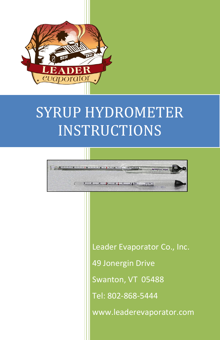

# SYRUP HYDROMETER **INSTRUCTIONS**



Leader Evaporator Co., Inc. 49 Jonergin Drive Swanton, VT 05488 Tel: 802-868-5444 www.leaderevaporator.com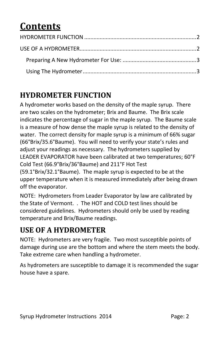# **Contents**

## <span id="page-1-0"></span>**HYDROMETER FUNCTION**

A hydrometer works based on the density of the maple syrup. There are two scales on the hydrometer; Brix and Baume. The Brix scale indicates the percentage of sugar in the maple syrup. The Baume scale is a measure of how dense the maple syrup is related to the density of water. The correct density for maple syrup is a minimum of 66% sugar (66°Brix/35.6°Baume). You will need to verify your state's rules and adjust your readings as necessary. The hydrometers supplied by LEADER EVAPORATOR have been calibrated at two temperatures; 60°F Cold Test (66.9°Brix/36°Baume) and 211°F Hot Test (59.1°Brix/32.1°Baume). The maple syrup is expected to be at the upper temperature when it is measured immediately after being drawn off the evaporator.

NOTE: Hydrometers from Leader Evaporator by law are calibrated by the State of Vermont. . The HOT and COLD test lines should be considered guidelines. Hydrometers should only be used by reading temperature and Brix/Baume readings.

### <span id="page-1-1"></span>**USE OF A HYDROMETER**

NOTE: Hydrometers are very fragile. Two most susceptible points of damage during use are the bottom and where the stem meets the body. Take extreme care when handling a hydrometer.

As hydrometers are susceptible to damage it is recommended the sugar house have a spare.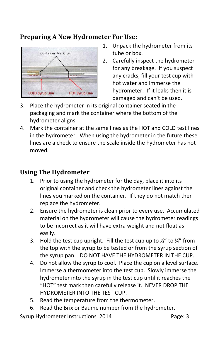#### <span id="page-2-0"></span>**Preparing A New Hydrometer For Use:**



- 1. Unpack the hydrometer from its tube or box.
- 2. Carefully inspect the hydrometer for any breakage. If you suspect any cracks, fill your test cup with hot water and immerse the hydrometer. If it leaks then it is damaged and can't be used.
- 3. Place the hydrometer in its original container seated in the packaging and mark the container where the bottom of the hydrometer aligns.
- 4. Mark the container at the same lines as the HOT and COLD test lines in the hydrometer. When using the hydrometer in the future these lines are a check to ensure the scale inside the hydrometer has not moved.

#### <span id="page-2-1"></span>**Using The Hydrometer**

- 1. Prior to using the hydrometer for the day, place it into its original container and check the hydrometer lines against the lines you marked on the container. If they do not match then replace the hydrometer.
- 2. Ensure the hydrometer is clean prior to every use. Accumulated material on the hydrometer will cause the hydrometer readings to be incorrect as it will have extra weight and not float as easily.
- 3. Hold the test cup upright. Fill the test cup up to  $\frac{1}{2}$  to  $\frac{3}{4}$  from the top with the syrup to be tested or from the syrup section of the syrup pan. DO NOT HAVE THE HYDROMETER IN THE CUP.
- 4. Do not allow the syrup to cool. Place the cup on a level surface. Immerse a thermometer into the test cup. Slowly immerse the hydrometer into the syrup in the test cup until it reaches the "HOT" test mark then carefully release it. NEVER DROP THE HYDROMETER INTO THE TEST CUP.
- 5. Read the temperature from the thermometer.
- 6. Read the Brix or Baume number from the hydrometer.

Syrup Hydrometer Instructions 2014 Page: 3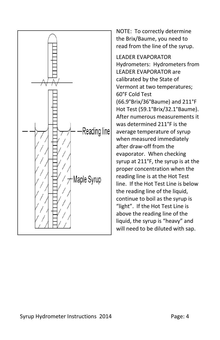

NOTE: To correctly determine the Brix/Baume, you need to read from the line of the syrup.

LEADER EVAPORATOR Hydrometers: Hydrometers from LEADER EVAPORATOR are calibrated by the State of Vermont at two temperatures; 60°F Cold Test (66.9°Brix/36°Baume) and 211°F Hot Test (59.1°Brix/32.1°Baume). After numerous measurements it was determined 211°F is the average temperature of syrup when measured immediately after draw-off from the evaporator. When checking syrup at 211°F, the syrup is at the proper concentration when the reading line is at the Hot Test line. If the Hot Test Line is below the reading line of the liquid, continue to boil as the syrup is "light". If the Hot Test Line is above the reading line of the liquid, the syrup is "heavy" and will need to be diluted with sap.